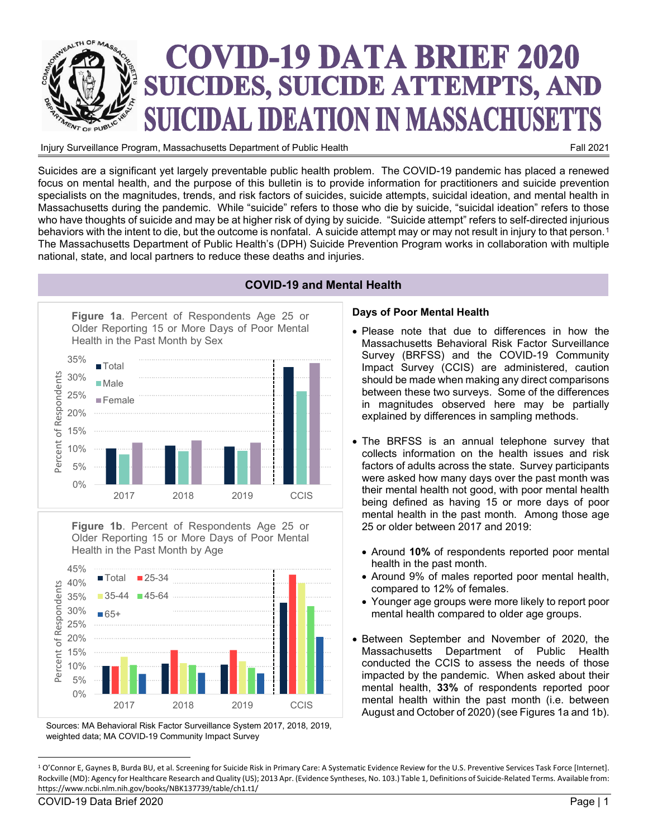

Injury Surveillance Program, Massachusetts Department of Public Health

Suicides are a significant yet largely preventable public health problem. The COVID-19 pandemic has placed a renewed focus on mental health, and the purpose of this bulletin is to provide information for practitioners and suicide prevention specialists on the magnitudes, trends, and risk factors of suicides, suicide attempts, suicidal ideation, and mental health in Massachusetts during the pandemic. While "suicide" refers to those who die by suicide, "suicidal ideation" refers to those who have thoughts of suicide and may be at higher risk of dying by suicide. "Suicide attempt" refers to self-directed injurious behaviors with the intent to die, but the outcome is nonfatal. A suicide attempt may or may not result in injury to that person.<sup>[1](#page-0-0)</sup> The Massachusetts Department of Public Health's (DPH) Suicide Prevention Program works in collaboration with multiple national, state, and local partners to reduce these deaths and injuries.



**Figure 1b**. Percent of Respondents Age 25 or Older Reporting 15 or More Days of Poor Mental Health in the Past Month by Age



Sources: MA Behavioral Risk Factor Surveillance System 2017, 2018, 2019, weighted data; MA COVID-19 Community Impact Survey

# **COVID-19 and Mental Health**

#### **Days of Poor Mental Health**

- Please note that due to differences in how the Massachusetts Behavioral Risk Factor Surveillance Survey (BRFSS) and the COVID-19 Community Impact Survey (CCIS) are administered, caution should be made when making any direct comparisons between these two surveys. Some of the differences in magnitudes observed here may be partially explained by differences in sampling methods.
- The BRFSS is an annual telephone survey that collects information on the health issues and risk factors of adults across the state. Survey participants were asked how many days over the past month was their mental health not good, with poor mental health being defined as having 15 or more days of poor mental health in the past month. Among those age 25 or older between 2017 and 2019:
	- Around **10%** of respondents reported poor mental health in the past month.
	- Around 9% of males reported poor mental health, compared to 12% of females.
	- Younger age groups were more likely to report poor mental health compared to older age groups.
- Between September and November of 2020, the Department of Public Health conducted the CCIS to assess the needs of those impacted by the pandemic. When asked about their mental health, **33%** of respondents reported poor mental health within the past month (i.e. between August and October of 2020) (see Figures 1a and 1b).

<span id="page-0-0"></span><sup>&</sup>lt;sup>1</sup> O'Connor E, Gaynes B, Burda BU, et al. Screening for Suicide Risk in Primary Care: A Systematic Evidence Review for the U.S. Preventive Services Task Force [Internet]. Rockville (MD): Agency for Healthcare Research and Quality (US); 2013 Apr. (Evidence Syntheses, No. 103.) Table 1, Definitions of Suicide-Related Terms. Available from: https://www.ncbi.nlm.nih.gov/books/NBK137739/table/ch1.t1/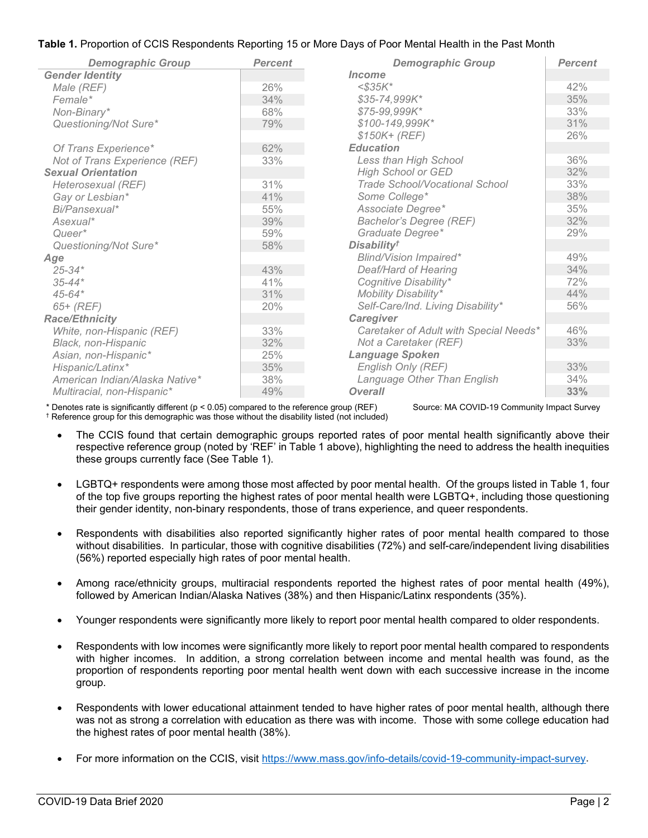# **Table 1.** Proportion of CCIS Respondents Reporting 15 or More Days of Poor Mental Health in the Past Month

| <b>Demographic Group</b>       | <b>Percent</b> | <b>Demographic Group</b>               | <b>Percent</b> |
|--------------------------------|----------------|----------------------------------------|----------------|
| <b>Gender Identity</b>         |                | Income                                 |                |
| Male (REF)                     | 26%            | $<$ \$35K*                             | 42%            |
| Female*                        | 34%            | \$35-74,999K*                          | 35%            |
| Non-Binary*                    | 68%            | \$75-99,999K*                          | 33%            |
| Questioning/Not Sure*          | 79%            | \$100-149,999K*                        | 31%            |
|                                |                | $$150K+ (REF)$                         | 26%            |
| Of Trans Experience*           | 62%            | <b>Education</b>                       |                |
| Not of Trans Experience (REF)  | 33%            | Less than High School                  | 36%            |
| <b>Sexual Orientation</b>      |                | <b>High School or GED</b>              | 32%            |
| Heterosexual (REF)             | 31%            | <b>Trade School/Vocational School</b>  | 33%            |
| Gay or Lesbian*                | 41%            | Some College*                          | 38%            |
| Bi/Pansexual*                  | 55%            | Associate Degree*                      | 35%            |
| Asexual*                       | 39%            | <b>Bachelor's Degree (REF)</b>         | 32%            |
| Queer*                         | 59%            | Graduate Degree*                       | 29%            |
| Questioning/Not Sure*          | 58%            | <b>Disability<sup>†</sup></b>          |                |
| Age                            |                | <b>Blind/Vision Impaired*</b>          | 49%            |
| $25 - 34*$                     | 43%            | Deaf/Hard of Hearing                   | 34%            |
| $35 - 44*$                     | 41%            | Cognitive Disability*                  | 72%            |
| $45 - 64*$                     | 31%            | Mobility Disability*                   | 44%            |
| $65+$ (REF)                    | 20%            | Self-Care/Ind. Living Disability*      | 56%            |
| <b>Race/Ethnicity</b>          |                | Caregiver                              |                |
| White, non-Hispanic (REF)      | 33%            | Caretaker of Adult with Special Needs* | 46%            |
| Black, non-Hispanic            | 32%            | Not a Caretaker (REF)                  | 33%            |
| Asian, non-Hispanic*           | 25%            | <b>Language Spoken</b>                 |                |
| Hispanic/Latinx*               | 35%            | English Only (REF)                     | 33%            |
| American Indian/Alaska Native* | 38%            | Language Other Than English            | 34%            |
| Multiracial, non-Hispanic*     | 49%            | <b>Overall</b>                         | 33%            |

\* Denotes rate is significantly different (p < 0.05) compared to the reference group (REF) Source: MA COVID-19 Community Impact Survey

- † Reference group for this demographic was those without the disability listed (not included)
	- The CCIS found that certain demographic groups reported rates of poor mental health significantly above their respective reference group (noted by 'REF' in Table 1 above), highlighting the need to address the health inequities these groups currently face (See Table 1).
	- LGBTQ+ respondents were among those most affected by poor mental health. Of the groups listed in Table 1, four of the top five groups reporting the highest rates of poor mental health were LGBTQ+, including those questioning their gender identity, non-binary respondents, those of trans experience, and queer respondents.
	- Respondents with disabilities also reported significantly higher rates of poor mental health compared to those without disabilities. In particular, those with cognitive disabilities (72%) and self-care/independent living disabilities (56%) reported especially high rates of poor mental health.
	- Among race/ethnicity groups, multiracial respondents reported the highest rates of poor mental health (49%), followed by American Indian/Alaska Natives (38%) and then Hispanic/Latinx respondents (35%).
	- Younger respondents were significantly more likely to report poor mental health compared to older respondents.
	- Respondents with low incomes were significantly more likely to report poor mental health compared to respondents with higher incomes. In addition, a strong correlation between income and mental health was found, as the proportion of respondents reporting poor mental health went down with each successive increase in the income group.
	- Respondents with lower educational attainment tended to have higher rates of poor mental health, although there was not as strong a correlation with education as there was with income. Those with some college education had the highest rates of poor mental health (38%).
	- For more information on the CCIS, visit [https://www.mass.gov/info-details/covid-19-community-impact-survey.](https://www.mass.gov/info-details/covid-19-community-impact-survey)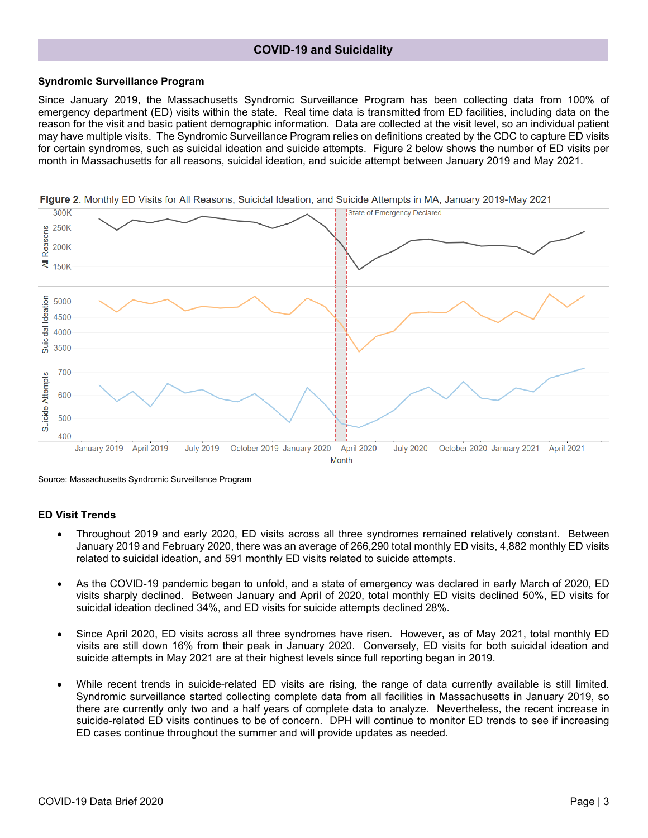# **COVID-19 and Suicidality**

#### **Syndromic Surveillance Program**

Since January 2019, the Massachusetts Syndromic Surveillance Program has been collecting data from 100% of emergency department (ED) visits within the state. Real time data is transmitted from ED facilities, including data on the reason for the visit and basic patient demographic information. Data are collected at the visit level, so an individual patient may have multiple visits. The Syndromic Surveillance Program relies on definitions created by the CDC to capture ED visits for certain syndromes, such as suicidal ideation and suicide attempts. Figure 2 below shows the number of ED visits per month in Massachusetts for all reasons, suicidal ideation, and suicide attempt between January 2019 and May 2021.



Figure 2. Monthly ED Visits for All Reasons, Suicidal Ideation, and Suicide Attempts in MA, January 2019-May 2021

Source: Massachusetts Syndromic Surveillance Program

#### **ED Visit Trends**

- Throughout 2019 and early 2020, ED visits across all three syndromes remained relatively constant. Between January 2019 and February 2020, there was an average of 266,290 total monthly ED visits, 4,882 monthly ED visits related to suicidal ideation, and 591 monthly ED visits related to suicide attempts.
- As the COVID-19 pandemic began to unfold, and a state of emergency was declared in early March of 2020, ED visits sharply declined. Between January and April of 2020, total monthly ED visits declined 50%, ED visits for suicidal ideation declined 34%, and ED visits for suicide attempts declined 28%.
- Since April 2020, ED visits across all three syndromes have risen. However, as of May 2021, total monthly ED visits are still down 16% from their peak in January 2020. Conversely, ED visits for both suicidal ideation and suicide attempts in May 2021 are at their highest levels since full reporting began in 2019.
- While recent trends in suicide-related ED visits are rising, the range of data currently available is still limited. Syndromic surveillance started collecting complete data from all facilities in Massachusetts in January 2019, so there are currently only two and a half years of complete data to analyze. Nevertheless, the recent increase in suicide-related ED visits continues to be of concern. DPH will continue to monitor ED trends to see if increasing ED cases continue throughout the summer and will provide updates as needed.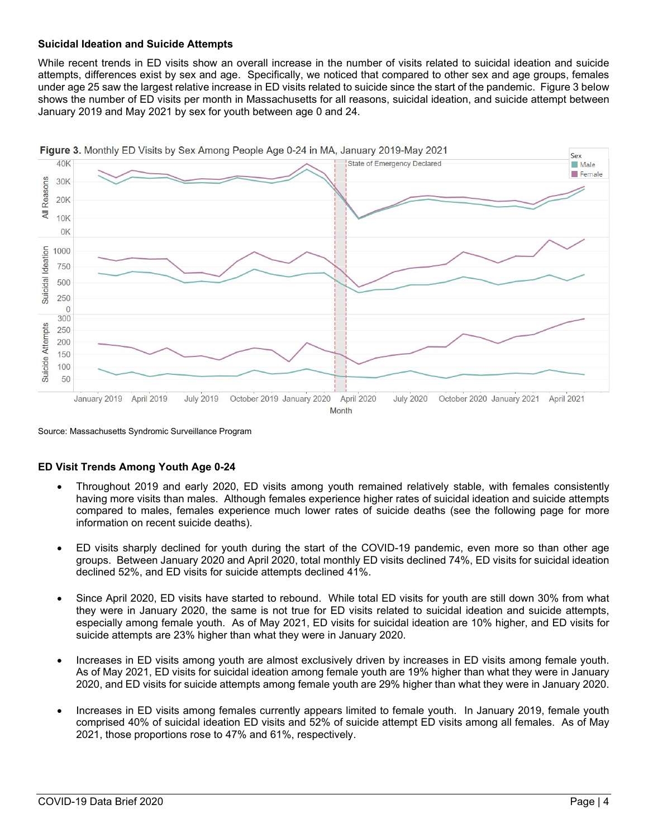#### **Suicidal Ideation and Suicide Attempts**

While recent trends in ED visits show an overall increase in the number of visits related to suicidal ideation and suicide attempts, differences exist by sex and age. Specifically, we noticed that compared to other sex and age groups, females under age 25 saw the largest relative increase in ED visits related to suicide since the start of the pandemic. Figure 3 below shows the number of ED visits per month in Massachusetts for all reasons, suicidal ideation, and suicide attempt between January 2019 and May 2021 by sex for youth between age 0 and 24.



Source: Massachusetts Syndromic Surveillance Program

#### **ED Visit Trends Among Youth Age 0-24**

- Throughout 2019 and early 2020, ED visits among youth remained relatively stable, with females consistently having more visits than males. Although females experience higher rates of suicidal ideation and suicide attempts compared to males, females experience much lower rates of suicide deaths (see the following page for more information on recent suicide deaths).
- ED visits sharply declined for youth during the start of the COVID-19 pandemic, even more so than other age groups. Between January 2020 and April 2020, total monthly ED visits declined 74%, ED visits for suicidal ideation declined 52%, and ED visits for suicide attempts declined 41%.
- Since April 2020, ED visits have started to rebound. While total ED visits for youth are still down 30% from what they were in January 2020, the same is not true for ED visits related to suicidal ideation and suicide attempts, especially among female youth. As of May 2021, ED visits for suicidal ideation are 10% higher, and ED visits for suicide attempts are 23% higher than what they were in January 2020.
- Increases in ED visits among youth are almost exclusively driven by increases in ED visits among female youth. As of May 2021, ED visits for suicidal ideation among female youth are 19% higher than what they were in January 2020, and ED visits for suicide attempts among female youth are 29% higher than what they were in January 2020.
- Increases in ED visits among females currently appears limited to female youth. In January 2019, female youth comprised 40% of suicidal ideation ED visits and 52% of suicide attempt ED visits among all females. As of May 2021, those proportions rose to 47% and 61%, respectively.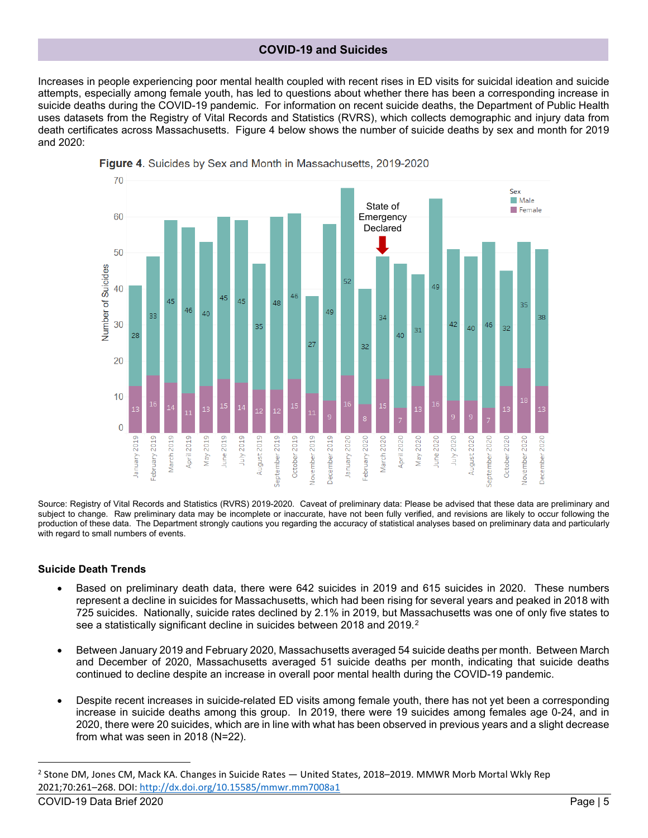### **COVID-19 and Suicides**

Increases in people experiencing poor mental health coupled with recent rises in ED visits for suicidal ideation and suicide attempts, especially among female youth, has led to questions about whether there has been a corresponding increase in suicide deaths during the COVID-19 pandemic. For information on recent suicide deaths, the Department of Public Health uses datasets from the Registry of Vital Records and Statistics (RVRS), which collects demographic and injury data from death certificates across Massachusetts. Figure 4 below shows the number of suicide deaths by sex and month for 2019 and 2020:



Figure 4. Suicides by Sex and Month in Massachusetts, 2019-2020

Source: Registry of Vital Records and Statistics (RVRS) 2019-2020. Caveat of preliminary data: Please be advised that these data are preliminary and subject to change. Raw preliminary data may be incomplete or inaccurate, have not been fully verified, and revisions are likely to occur following the production of these data. The Department strongly cautions you regarding the accuracy of statistical analyses based on preliminary data and particularly with regard to small numbers of events.

#### **Suicide Death Trends**

- Based on preliminary death data, there were 642 suicides in 2019 and 615 suicides in 2020. These numbers represent a decline in suicides for Massachusetts, which had been rising for several years and peaked in 2018 with 725 suicides. Nationally, suicide rates declined by 2.1% in 2019, but Massachusetts was one of only five states to see a statistically significant decline in suicides between 2018 and 2019.<sup>2</sup>
- Between January 2019 and February 2020, Massachusetts averaged 54 suicide deaths per month. Between March and December of 2020, Massachusetts averaged 51 suicide deaths per month, indicating that suicide deaths continued to decline despite an increase in overall poor mental health during the COVID-19 pandemic.
- Despite recent increases in suicide-related ED visits among female youth, there has not yet been a corresponding increase in suicide deaths among this group. In 2019, there were 19 suicides among females age 0-24, and in 2020, there were 20 suicides, which are in line with what has been observed in previous years and a slight decrease from what was seen in 2018 (N=22).

<span id="page-4-0"></span>COVID-19 Data Brief 2020 Page | 5 <sup>2</sup> Stone DM, Jones CM, Mack KA. Changes in Suicide Rates — United States, 2018–2019. MMWR Morb Mortal Wkly Rep 2021;70:261–268. DOI: <http://dx.doi.org/10.15585/mmwr.mm7008a1>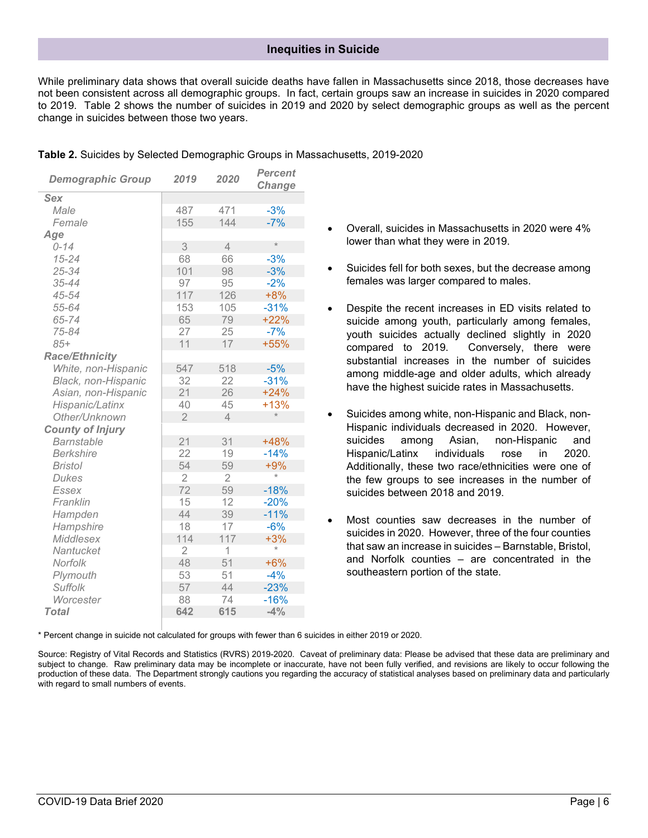#### **Inequities in Suicide**

While preliminary data shows that overall suicide deaths have fallen in Massachusetts since 2018, those decreases have not been consistent across all demographic groups. In fact, certain groups saw an increase in suicides in 2020 compared to 2019. Table 2 shows the number of suicides in 2019 and 2020 by select demographic groups as well as the percent change in suicides between those two years.

| <b>Demographic Group</b> | 2019           | 2020           | <b>Percent</b><br>Change |
|--------------------------|----------------|----------------|--------------------------|
| <b>Sex</b>               |                |                |                          |
| Male                     | 487            | 471            | $-3%$                    |
| Female                   | 155            | 144            | $-7%$                    |
| Age                      |                |                |                          |
| $0 - 14$                 | 3              | 4              | $\star$                  |
| $15 - 24$                | 68             | 66             | $-3%$                    |
| 25-34                    | 101            | 98             | $-3%$                    |
| 35-44                    | 97             | 95             | $-2%$                    |
| 45-54                    | 117            | 126            | $+8%$                    |
| 55-64                    | 153            | 105            | $-31%$                   |
| 65-74                    | 65             | 79             | $+22%$                   |
| 75-84                    | 27             | 25             | $-7%$                    |
| $85+$                    | 11             | 17             | +55%                     |
| <b>Race/Ethnicity</b>    |                |                |                          |
| White, non-Hispanic      | 547            | 518            | $-5%$                    |
| Black, non-Hispanic      | 32             | 22             | $-31%$                   |
| Asian, non-Hispanic      | 21             | 26             | $+24%$                   |
| Hispanic/Latinx          | 40             | 45             | $+13%$                   |
| Other/Unknown            | $\overline{2}$ | $\overline{4}$ | $\star$                  |
| <b>County of Injury</b>  |                |                |                          |
| <b>Barnstable</b>        | 21             | 31             | +48%                     |
| <b>Berkshire</b>         | 22             | 19             | $-14%$                   |
| <b>Bristol</b>           | 54             | 59             | $+9%$                    |
| <b>Dukes</b>             | $\overline{2}$ | $\overline{2}$ | $\star$                  |
| Essex                    | 72             | 59             | $-18%$                   |
| Franklin                 | 15             | 12             | $-20%$                   |
| Hampden                  | 44             | 39             | $-11%$                   |
| Hampshire                | 18             | 17             | $-6%$                    |
| <b>Middlesex</b>         | 114            | 117            | $+3%$                    |
| Nantucket                | $\overline{2}$ | 1              | $\star$                  |
| Norfolk                  | 48             | 51             | $+6%$                    |
| Plymouth                 | 53             | 51             | $-4%$                    |
| <b>Suffolk</b>           | 57             | 44             | $-23%$                   |
| Worcester                | 88             | 74             | $-16%$                   |
| <b>Total</b>             | 642            | 615            | $-4%$                    |

|  |  | Table 2. Suicides by Selected Demographic Groups in Massachusetts, 2019-2020 |  |
|--|--|------------------------------------------------------------------------------|--|
|  |  |                                                                              |  |

- Overall, suicides in Massachusetts in 2020 were 4% lower than what they were in 2019.
- Suicides fell for both sexes, but the decrease among females was larger compared to males.
- Despite the recent increases in ED visits related to suicide among youth, particularly among females, youth suicides actually declined slightly in 2020 compared to 2019. Conversely, there were substantial increases in the number of suicides among middle-age and older adults, which already have the highest suicide rates in Massachusetts.
- Suicides among white, non-Hispanic and Black, non-Hispanic individuals decreased in 2020. However, suicides among Asian, non-Hispanic and Hispanic/Latinx individuals rose in 2020. Additionally, these two race/ethnicities were one of the few groups to see increases in the number of suicides between 2018 and 2019.
- Most counties saw decreases in the number of suicides in 2020. However, three of the four counties that saw an increase in suicides – Barnstable, Bristol, and Norfolk counties – are concentrated in the southeastern portion of the state.

\* Percent change in suicide not calculated for groups with fewer than 6 suicides in either 2019 or 2020.

Source: Registry of Vital Records and Statistics (RVRS) 2019-2020. Caveat of preliminary data: Please be advised that these data are preliminary and subject to change. Raw preliminary data may be incomplete or inaccurate, have not been fully verified, and revisions are likely to occur following the production of these data. The Department strongly cautions you regarding the accuracy of statistical analyses based on preliminary data and particularly with regard to small numbers of events.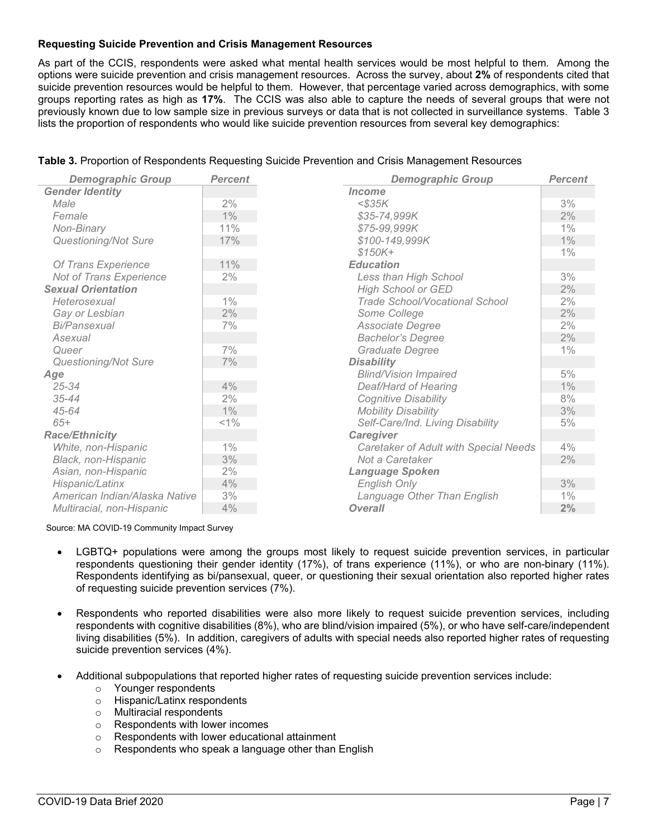#### **Requesting Suicide Prevention and Crisis Management Resources**

As part of the CCIS, respondents were asked what mental health services would be most helpful to them. Among the options were suicide prevention and crisis management resources. Across the survey, about **2%** of respondents cited that suicide prevention resources would be helpful to them. However, that percentage varied across demographics, with some groups reporting rates as high as **17%**. The CCIS was also able to capture the needs of several groups that were not previously known due to low sample size in previous surveys or data that is not collected in surveillance systems. Table 3 lists the proportion of respondents who would like suicide prevention resources from several key demographics:

|  |  |  | Table 3. Proportion of Respondents Requesting Suicide Prevention and Crisis Management Resources |
|--|--|--|--------------------------------------------------------------------------------------------------|
|  |  |  |                                                                                                  |

| <b>Demographic Group</b>      | <b>Percent</b> | <b>Demographic Group</b>              | <b>Percent</b> |
|-------------------------------|----------------|---------------------------------------|----------------|
| <b>Gender Identity</b>        |                | <i><u><b>Income</b></u></i>           |                |
| Male                          | 2%             | $<$ \$35 $K$                          | 3%             |
| Female                        | $1\%$          | \$35-74,999K                          | 2%             |
| Non-Binary                    | 11%            | \$75-99,999K                          | $1\%$          |
| <b>Questioning/Not Sure</b>   | 17%            | \$100-149,999K                        | 1%             |
|                               |                | $$150K +$                             | $1\%$          |
| Of Trans Experience           | 11%            | <b>Education</b>                      |                |
| Not of Trans Experience       | 2%             | Less than High School                 | 3%             |
| <b>Sexual Orientation</b>     |                | <b>High School or GED</b>             | 2%             |
| Heterosexual                  | $1\%$          | <b>Trade School/Vocational School</b> | 2%             |
| Gay or Lesbian                | 2%             | Some College                          | 2%             |
| <b>Bi/Pansexual</b>           | 7%             | Associate Degree                      | 2%             |
| Asexual                       |                | <b>Bachelor's Degree</b>              | 2%             |
| Queer                         | 7%             | Graduate Degree                       | $1\%$          |
| <b>Questioning/Not Sure</b>   | 7%             | <b>Disability</b>                     |                |
| Age                           |                | <b>Blind/Vision Impaired</b>          | 5%             |
| $25 - 34$                     | 4%             | Deaf/Hard of Hearing                  | 1%             |
| $35 - 44$                     | 2%             | <b>Cognitive Disability</b>           | 8%             |
| $45 - 64$                     | $1\%$          | <b>Mobility Disability</b>            | 3%             |
| $65+$                         | $< 1\%$        | Self-Care/Ind. Living Disability      | 5%             |
| <b>Race/Ethnicity</b>         |                | Caregiver                             |                |
| White, non-Hispanic           | $1\%$          | Caretaker of Adult with Special Needs | 4%             |
| Black, non-Hispanic           | 3%             | Not a Caretaker                       | 2%             |
| Asian, non-Hispanic           | 2%             | <b>Language Spoken</b>                |                |
| Hispanic/Latinx               | 4%             | <b>English Only</b>                   | 3%             |
| American Indian/Alaska Native | 3%             | Language Other Than English           | 1%             |
| Multiracial, non-Hispanic     | 4%             | <b>Overall</b>                        | 2%             |

Source: MA COVID-19 Community Impact Survey

- LGBTQ+ populations were among the groups most likely to request suicide prevention services, in particular respondents questioning their gender identity (17%), of trans experience (11%), or who are non-binary (11%). Respondents identifying as bi/pansexual, queer, or questioning their sexual orientation also reported higher rates of requesting suicide prevention services (7%).
- Respondents who reported disabilities were also more likely to request suicide prevention services, including respondents with cognitive disabilities (8%), who are blind/vision impaired (5%), or who have self-care/independent living disabilities (5%). In addition, caregivers of adults with special needs also reported higher rates of requesting suicide prevention services (4%).
- Additional subpopulations that reported higher rates of requesting suicide prevention services include:
	- o Younger respondents
	- o Hispanic/Latinx respondents
	- o Multiracial respondents
	- o Respondents with lower incomes
	- o Respondents with lower educational attainment
	- o Respondents who speak a language other than English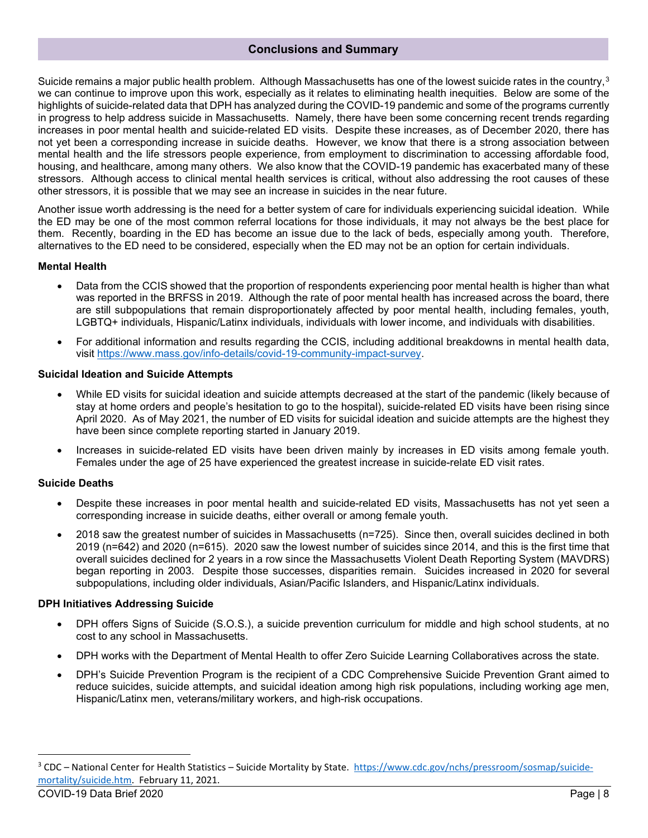Suicide remains a major public health problem. Although Massachusetts has one of the lowest suicide rates in the country,  $3$ we can continue to improve upon this work, especially as it relates to eliminating health inequities. Below are some of the highlights of suicide-related data that DPH has analyzed during the COVID-19 pandemic and some of the programs currently in progress to help address suicide in Massachusetts. Namely, there have been some concerning recent trends regarding increases in poor mental health and suicide-related ED visits. Despite these increases, as of December 2020, there has not yet been a corresponding increase in suicide deaths. However, we know that there is a strong association between mental health and the life stressors people experience, from employment to discrimination to accessing affordable food, housing, and healthcare, among many others. We also know that the COVID-19 pandemic has exacerbated many of these stressors. Although access to clinical mental health services is critical, without also addressing the root causes of these other stressors, it is possible that we may see an increase in suicides in the near future.

Another issue worth addressing is the need for a better system of care for individuals experiencing suicidal ideation. While the ED may be one of the most common referral locations for those individuals, it may not always be the best place for them. Recently, boarding in the ED has become an issue due to the lack of beds, especially among youth. Therefore, alternatives to the ED need to be considered, especially when the ED may not be an option for certain individuals.

#### **Mental Health**

- Data from the CCIS showed that the proportion of respondents experiencing poor mental health is higher than what was reported in the BRFSS in 2019. Although the rate of poor mental health has increased across the board, there are still subpopulations that remain disproportionately affected by poor mental health, including females, youth, LGBTQ+ individuals, Hispanic/Latinx individuals, individuals with lower income, and individuals with disabilities.
- For additional information and results regarding the CCIS, including additional breakdowns in mental health data, visit [https://www.mass.gov/info-details/covid-19-community-impact-survey.](https://www.mass.gov/info-details/covid-19-community-impact-survey)

#### **Suicidal Ideation and Suicide Attempts**

- While ED visits for suicidal ideation and suicide attempts decreased at the start of the pandemic (likely because of stay at home orders and people's hesitation to go to the hospital), suicide-related ED visits have been rising since April 2020. As of May 2021, the number of ED visits for suicidal ideation and suicide attempts are the highest they have been since complete reporting started in January 2019.
- Increases in suicide-related ED visits have been driven mainly by increases in ED visits among female youth. Females under the age of 25 have experienced the greatest increase in suicide-relate ED visit rates.

#### **Suicide Deaths**

- Despite these increases in poor mental health and suicide-related ED visits, Massachusetts has not yet seen a corresponding increase in suicide deaths, either overall or among female youth.
- 2018 saw the greatest number of suicides in Massachusetts (n=725). Since then, overall suicides declined in both 2019 (n=642) and 2020 (n=615). 2020 saw the lowest number of suicides since 2014, and this is the first time that overall suicides declined for 2 years in a row since the Massachusetts Violent Death Reporting System (MAVDRS) began reporting in 2003. Despite those successes, disparities remain. Suicides increased in 2020 for several subpopulations, including older individuals, Asian/Pacific Islanders, and Hispanic/Latinx individuals.

#### **DPH Initiatives Addressing Suicide**

- DPH offers Signs of Suicide (S.O.S.), a suicide prevention curriculum for middle and high school students, at no cost to any school in Massachusetts.
- DPH works with the Department of Mental Health to offer Zero Suicide Learning Collaboratives across the state.
- DPH's Suicide Prevention Program is the recipient of a CDC Comprehensive Suicide Prevention Grant aimed to reduce suicides, suicide attempts, and suicidal ideation among high risk populations, including working age men, Hispanic/Latinx men, veterans/military workers, and high-risk occupations.

<span id="page-7-0"></span><sup>&</sup>lt;sup>3</sup> CDC – National Center for Health Statistics – Suicide Mortality by State. [https://www.cdc.gov/nchs/pressroom/sosmap/suicide](https://www.cdc.gov/nchs/pressroom/sosmap/suicide-mortality/suicide.htm)[mortality/suicide.htm.](https://www.cdc.gov/nchs/pressroom/sosmap/suicide-mortality/suicide.htm) February 11, 2021.